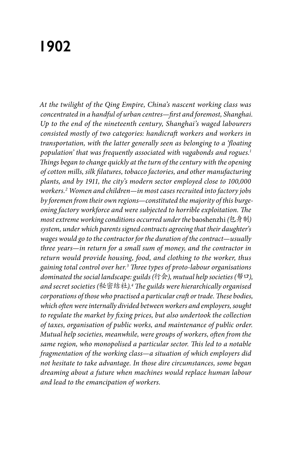# **1902**

*At the twilight of the Qing Empire, China's nascent working class was concentrated in a handful of urban centres—first and foremost, Shanghai. Up to the end of the nineteenth century, Shanghai's waged labourers consisted mostly of two categories: handicraft workers and workers in transportation, with the latter generally seen as belonging to a 'floating population' that was frequently associated with vagabonds and rogues.1 Things began to change quickly at the turn of the century with the opening of cotton mills, silk filatures, tobacco factories, and other manufacturing plants, and by 1911, the city's modern sector employed close to 100,000 workers.2 Women and children—in most cases recruited into factory jobs by foremen from their own regions—constituted the majority of this burgeoning factory workforce and were subjected to horrible exploitation. The most extreme working conditions occurred under the* baoshenzhi *(*包身制*) system, under which parents signed contracts agreeing that their daughter's wages would go to the contractor for the duration of the contract—usually three years—in return for a small sum of money, and the contractor in return would provide housing, food, and clothing to the worker, thus gaining total control over her.3 Three types of proto-labour organisations dominated the social landscape: guilds (*行会*), mutual help societies (*帮口*), and secret societies (*秘密结社*).4 The guilds were hierarchically organised corporations of those who practised a particular craft or trade. These bodies, which often were internally divided between workers and employers, sought to regulate the market by fixing prices, but also undertook the collection of taxes, organisation of public works, and maintenance of public order. Mutual help societies, meanwhile, were groups of workers, often from the same region, who monopolised a particular sector. This led to a notable fragmentation of the working class—a situation of which employers did not hesitate to take advantage. In those dire circumstances, some began dreaming about a future when machines would replace human labour and lead to the emancipation of workers.*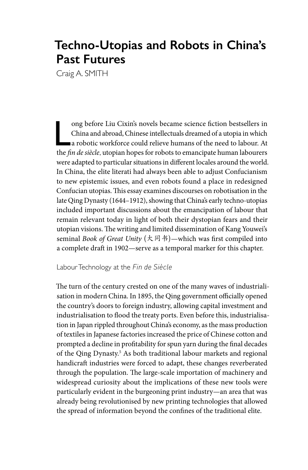# **Techno-Utopias and Robots in China's Past Futures**

Craig A. SMITH

L ong before Liu Cixin's novels became science fiction bestsellers in China and abroad, Chinese intellectuals dreamed of a utopia in which a robotic workforce could relieve humans of the need to labour. At the *fin de siècle*, utopian hopes for robots to emancipate human labourers were adapted to particular situations in different locales around the world. In China, the elite literati had always been able to adjust Confucianism to new epistemic issues, and even robots found a place in redesigned Confucian utopias. This essay examines discourses on robotisation in the late Qing Dynasty (1644–1912), showing that China's early techno-utopias included important discussions about the emancipation of labour that remain relevant today in light of both their dystopian fears and their utopian visions. The writing and limited dissemination of Kang Youwei's seminal *Book of Great Unity* (大同书)—which was first compiled into a complete draft in 1902—serve as a temporal marker for this chapter.

Labour Technology at the *Fin de Siècle*

The turn of the century crested on one of the many waves of industrialisation in modern China. In 1895, the Qing government officially opened the country's doors to foreign industry, allowing capital investment and industrialisation to flood the treaty ports. Even before this, industrialisation in Japan rippled throughout China's economy, as the mass production of textiles in Japanese factories increased the price of Chinese cotton and prompted a decline in profitability for spun yarn during the final decades of the Qing Dynasty.<sup>5</sup> As both traditional labour markets and regional handicraft industries were forced to adapt, these changes reverberated through the population. The large-scale importation of machinery and widespread curiosity about the implications of these new tools were particularly evident in the burgeoning print industry—an area that was already being revolutionised by new printing technologies that allowed the spread of information beyond the confines of the traditional elite.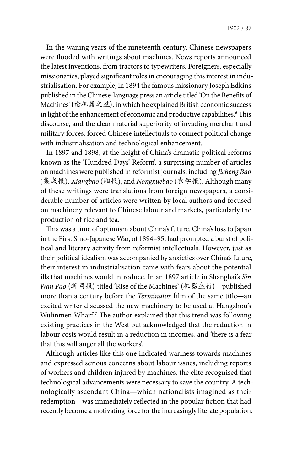In the waning years of the nineteenth century, Chinese newspapers were flooded with writings about machines. News reports announced the latest inventions, from tractors to typewriters. Foreigners, especially missionaries, played significant roles in encouraging this interest in industrialisation. For example, in 1894 the famous missionary Joseph Edkins published in the Chinese-language press an article titled 'On the Benefits of Machines' (论机器之益), in which he explained British economic success in light of the enhancement of economic and productive capabilities.<sup>6</sup> This discourse, and the clear material superiority of invading merchant and military forces, forced Chinese intellectuals to connect political change with industrialisation and technological enhancement.

In 1897 and 1898, at the height of China's dramatic political reforms known as the 'Hundred Days' Reform', a surprising number of articles on machines were published in reformist journals, including *Jicheng Bao*  (集成报), *Xiangbao* (湘报), and *Nongxuebao* (农学报). Although many of these writings were translations from foreign newspapers, a considerable number of articles were written by local authors and focused on machinery relevant to Chinese labour and markets, particularly the production of rice and tea.

This was a time of optimism about China's future. China's loss to Japan in the First Sino-Japanese War, of 1894–95, had prompted a burst of political and literary activity from reformist intellectuals. However, just as their political idealism was accompanied by anxieties over China's future, their interest in industrialisation came with fears about the potential ills that machines would introduce. In an 1897 article in Shanghai's *Sin Wan Pao* (新闻报) titled 'Rise of the Machines' (机器盛行)—published more than a century before the *Terminator* film of the same title—an excited writer discussed the new machinery to be used at Hangzhou's Wulinmen Wharf.<sup>7</sup> The author explained that this trend was following existing practices in the West but acknowledged that the reduction in labour costs would result in a reduction in incomes, and 'there is a fear that this will anger all the workers'.

Although articles like this one indicated wariness towards machines and expressed serious concerns about labour issues, including reports of workers and children injured by machines, the elite recognised that technological advancements were necessary to save the country. A technologically ascendant China—which nationalists imagined as their redemption—was immediately reflected in the popular fiction that had recently become a motivating force for the increasingly literate population.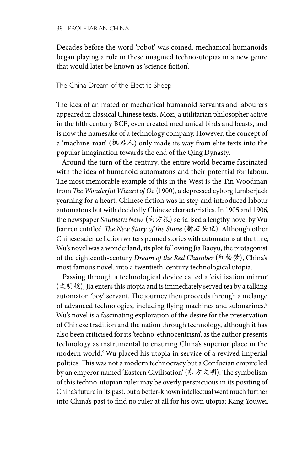Decades before the word 'robot' was coined, mechanical humanoids began playing a role in these imagined techno-utopias in a new genre that would later be known as 'science fiction'.

## The China Dream of the Electric Sheep

The idea of animated or mechanical humanoid servants and labourers appeared in classical Chinese texts. Mozi, a utilitarian philosopher active in the fifth century BCE, even created mechanical birds and beasts, and is now the namesake of a technology company. However, the concept of a 'machine-man' (机器人) only made its way from elite texts into the popular imagination towards the end of the Qing Dynasty.

Around the turn of the century, the entire world became fascinated with the idea of humanoid automatons and their potential for labour. The most memorable example of this in the West is the Tin Woodman from *The Wonderful Wizard of Oz* (1900), a depressed cyborg lumberjack yearning for a heart. Chinese fiction was in step and introduced labour automatons but with decidedly Chinese characteristics. In 1905 and 1906, the newspaper *Southern News* (南方报) serialised a lengthy novel by Wu Jianren entitled *The New Story of the Stone* (新石头记). Although other Chinese science fiction writers penned stories with automatons at the time, Wu's novel was a wonderland, its plot following Jia Baoyu, the protagonist of the eighteenth-century *Dream of the Red Chamber* (红楼梦), China's most famous novel, into a twentieth-century technological utopia.

Passing through a technological device called a 'civilisation mirror' (文明镜), Jia enters this utopia and is immediately served tea by a talking automaton 'boy' servant. The journey then proceeds through a melange of advanced technologies, including flying machines and submarines.<sup>8</sup> Wu's novel is a fascinating exploration of the desire for the preservation of Chinese tradition and the nation through technology, although it has also been criticised for its 'techno-ethnocentrism', as the author presents technology as instrumental to ensuring China's superior place in the modern world.9 Wu placed his utopia in service of a revived imperial politics. This was not a modern technocracy but a Confucian empire led by an emperor named 'Eastern Civilisation' (东方文明). The symbolism of this techno-utopian ruler may be overly perspicuous in its positing of China's future in its past, but a better-known intellectual went much further into China's past to find no ruler at all for his own utopia: Kang Youwei.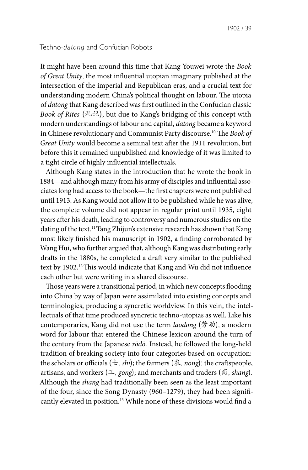# Techno-*datong* and Confucian Robots

It might have been around this time that Kang Youwei wrote the *Book of Great Unity*, the most influential utopian imaginary published at the intersection of the imperial and Republican eras, and a crucial text for understanding modern China's political thought on labour. The utopia of *datong* that Kang described was first outlined in the Confucian classic *Book of Rites* (礼记), but due to Kang's bridging of this concept with modern understandings of labour and capital, *datong* became a keyword in Chinese revolutionary and Communist Party discourse.10 The *Book of Great Unity* would become a seminal text after the 1911 revolution, but before this it remained unpublished and knowledge of it was limited to a tight circle of highly influential intellectuals.

Although Kang states in the introduction that he wrote the book in 1884—and although many from his army of disciples and influential associates long had access to the book—the first chapters were not published until 1913. As Kang would not allow it to be published while he was alive, the complete volume did not appear in regular print until 1935, eight years after his death, leading to controversy and numerous studies on the dating of the text.<sup>11</sup> Tang Zhijun's extensive research has shown that Kang most likely finished his manuscript in 1902, a finding corroborated by Wang Hui, who further argued that, although Kang was distributing early drafts in the 1880s, he completed a draft very similar to the published text by 1902.12 This would indicate that Kang and Wu did not influence each other but were writing in a shared discourse.

Those years were a transitional period, in which new concepts flooding into China by way of Japan were assimilated into existing concepts and terminologies, producing a syncretic worldview. In this vein, the intellectuals of that time produced syncretic techno-utopias as well. Like his contemporaries, Kang did not use the term *laodong* (劳动), a modern word for labour that entered the Chinese lexicon around the turn of the century from the Japanese *rōdō*. Instead, he followed the long-held tradition of breaking society into four categories based on occupation: the scholars or officials  $(\pm, shi)$ ; the farmers  $(\&$ , *nong*); the craftspeople, artisans, and workers (工*, gong*); and merchants and traders (商, *shang*). Although the *shang* had traditionally been seen as the least important of the four, since the Song Dynasty (960–1279), they had been significantly elevated in position.<sup>13</sup> While none of these divisions would find a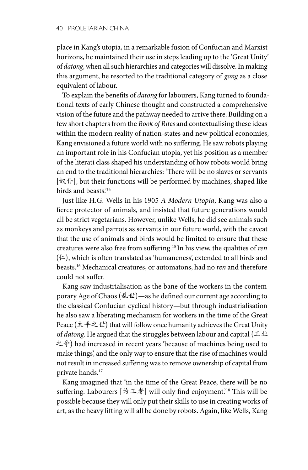place in Kang's utopia, in a remarkable fusion of Confucian and Marxist horizons, he maintained their use in steps leading up to the 'Great Unity' of *datong*, when all such hierarchies and categories will dissolve. In making this argument, he resorted to the traditional category of *gong* as a close equivalent of labour.

To explain the benefits of *datong* for labourers, Kang turned to foundational texts of early Chinese thought and constructed a comprehensive vision of the future and the pathway needed to arrive there. Building on a few short chapters from the *Book of Rites* and contextualising these ideas within the modern reality of nation-states and new political economies, Kang envisioned a future world with no suffering. He saw robots playing an important role in his Confucian utopia, yet his position as a member of the literati class shaped his understanding of how robots would bring an end to the traditional hierarchies: 'There will be no slaves or servants  $[\nvert \mathcal{R} \cdot \mathcal{N}]$ , but their functions will be performed by machines, shaped like birds and beasts.'14

Just like H.G. Wells in his 1905 *A Modern Utopia*, Kang was also a fierce protector of animals, and insisted that future generations would all be strict vegetarians. However, unlike Wells, he did see animals such as monkeys and parrots as servants in our future world, with the caveat that the use of animals and birds would be limited to ensure that these creatures were also free from suffering.15 In his view, the qualities of *ren*  $(\Leftrightarrow)$ , which is often translated as 'humaneness', extended to all birds and beasts.16 Mechanical creatures, or automatons, had no *ren* and therefore could not suffer.

Kang saw industrialisation as the bane of the workers in the contemporary Age of Chaos (乱世)—as he defined our current age according to the classical Confucian cyclical history—but through industrialisation he also saw a liberating mechanism for workers in the time of the Great Peace (太平之世) that will follow once humanity achieves the Great Unity of *datong*. He argued that the struggles between labour and capital (工业 之争) had increased in recent years 'because of machines being used to make things', and the only way to ensure that the rise of machines would not result in increased suffering was to remove ownership of capital from private hands.17

Kang imagined that 'in the time of the Great Peace, there will be no suffering. Labourers [为工者] will only find enjoyment.'18 This will be possible because they will only put their skills to use in creating works of art, as the heavy lifting will all be done by robots. Again, like Wells, Kang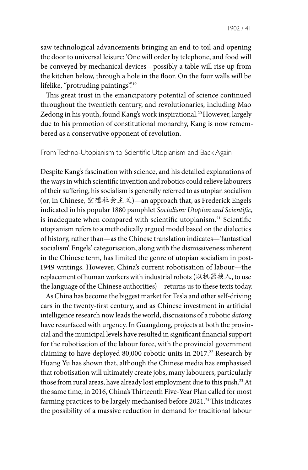saw technological advancements bringing an end to toil and opening the door to universal leisure: 'One will order by telephone, and food will be conveyed by mechanical devices—possibly a table will rise up from the kitchen below, through a hole in the floor. On the four walls will be lifelike, "protruding paintings".<sup>19</sup>

This great trust in the emancipatory potential of science continued throughout the twentieth century, and revolutionaries, including Mao Zedong in his youth, found Kang's work inspirational.<sup>20</sup> However, largely due to his promotion of constitutional monarchy, Kang is now remembered as a conservative opponent of revolution.

## From Techno-Utopianism to Scientific Utopianism and Back Again

Despite Kang's fascination with science, and his detailed explanations of the ways in which scientific invention and robotics could relieve labourers of their suffering, his socialism is generally referred to as utopian socialism (or, in Chinese, 空想社会主义)—an approach that, as Frederick Engels indicated in his popular 1880 pamphlet *Socialism: Utopian and Scientific*, is inadequate when compared with scientific utopianism.<sup>21</sup> Scientific utopianism refers to a methodically argued model based on the dialectics of history, rather than—as the Chinese translation indicates—'fantastical socialism'. Engels' categorisation, along with the dismissiveness inherent in the Chinese term, has limited the genre of utopian socialism in post-1949 writings. However, China's current robotisation of labour—the replacement of human workers with industrial robots (以机器换人, to use the language of the Chinese authorities)—returns us to these texts today.

As China has become the biggest market for Tesla and other self-driving cars in the twenty-first century, and as Chinese investment in artificial intelligence research now leads the world, discussions of a robotic *datong* have resurfaced with urgency. In Guangdong, projects at both the provincial and the municipal levels have resulted in significant financial support for the robotisation of the labour force, with the provincial government claiming to have deployed 80,000 robotic units in 2017.<sup>22</sup> Research by Huang Yu has shown that, although the Chinese media has emphasised that robotisation will ultimately create jobs, many labourers, particularly those from rural areas, have already lost employment due to this push.<sup>23</sup> At the same time, in 2016, China's Thirteenth Five-Year Plan called for most farming practices to be largely mechanised before 2021.<sup>24</sup> This indicates the possibility of a massive reduction in demand for traditional labour